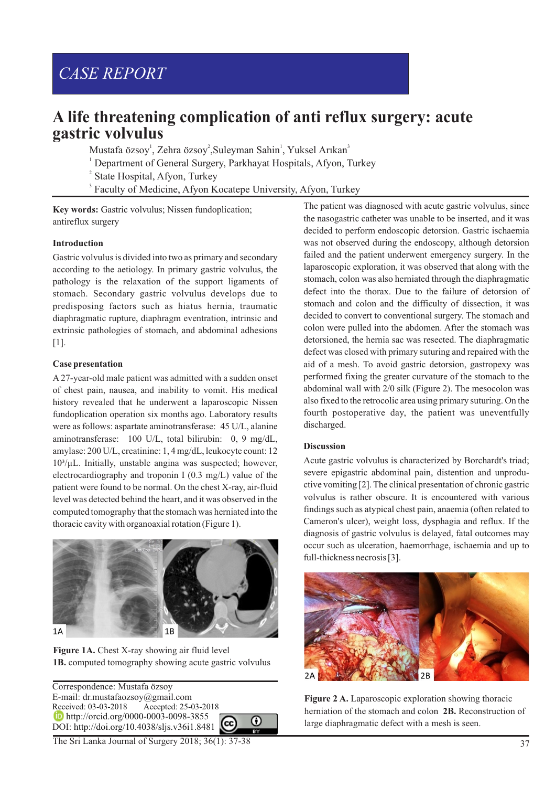# *CASE REPORT*

# **A life threatening complication of anti reflux surgery: acute gastric volvulus**

Mustafa özsoy<sup>1</sup>, Zehra özsoy<sup>2</sup>, Suleyman Sahin<sup>1</sup>, Yuksel Arıkan<sup>3</sup>

<sup>1</sup> Department of General Surgery, Parkhayat Hospitals, Afyon, Turkey

<sup>2</sup> State Hospital, Afyon, Turkey

<sup>3</sup> Faculty of Medicine, Afyon Kocatepe University, Afyon, Turkey

Key words: Gastric volvulus; Nissen fundoplication; antireflux surgery

# **Introduction**

Gastric volvulus is divided into two as primary and secondary according to the aetiology. In primary gastric volvulus, the pathology is the relaxation of the support ligaments of stomach. Secondary gastric volvulus develops due to predisposing factors such as hiatus hernia, traumatic diaphragmatic rupture, diaphragm eventration, intrinsic and extrinsic pathologies of stomach, and abdominal adhesions [1].

## **Case presentation**

A 27-year-old male patient was admitted with a sudden onset of chest pain, nausea, and inability to vomit. His medical history revealed that he underwent a laparoscopic Nissen fundoplication operation six months ago. Laboratory results were as follows: aspartate aminotransferase: 45 U/L, alanine aminotransferase: 100 U/L, total bilirubin: 0, 9 mg/dL, amylase: 200 U/L, creatinine: 1, 4 mg/dL, leukocyte count: 12  $10<sup>3</sup>/µ$ L. Initially, unstable angina was suspected; however, electrocardiography and troponin I (0.3 mg/L) value of the patient were found to be normal. On the chest X-ray, air-fluid level was detected behind the heart, and it was observed in the computed tomography that the stomach was herniated into the thoracic cavity with organoaxial rotation (Figure 1).



Figure 1A. Chest X-ray showing air fluid level **1B.** computed tomography showing acute gastric volvulus

Correspondence: Mustafa özsoy E-mail: dr.mustafaozsoy@gmail.com Accepted: 25-03-2018 **http://orcid.org/0000-0003-0098-3855**  $\odot$ DOI: http://doi.org/10.4038/sljs.v36i1.8481

The Sri Lanka Journal of Surgery 2018; 36(1): 37-38

The patient was diagnosed with acute gastric volvulus, since the nasogastric catheter was unable to be inserted, and it was decided to perform endoscopic detorsion. Gastric ischaemia was not observed during the endoscopy, although detorsion failed and the patient underwent emergency surgery. In the laparoscopic exploration, it was observed that along with the stomach, colon was also herniated through the diaphragmatic defect into the thorax. Due to the failure of detorsion of stomach and colon and the difficulty of dissection, it was decided to convert to conventional surgery. The stomach and colon were pulled into the abdomen. After the stomach was detorsioned, the hernia sac was resected. The diaphragmatic defect was closed with primary suturing and repaired with the aid of a mesh. To avoid gastric detorsion, gastropexy was performed fixing the greater curvature of the stomach to the abdominal wall with 2/0 silk (Figure 2). The mesocolon was also fixed to the retrocolic area using primary suturing. On the fourth postoperative day, the patient was uneventfully discharged.

# **Discussion**

Acute gastric volvulus is characterized by Borchardt's triad; severe epigastric abdominal pain, distention and unproductive vomiting [2]. The clinical presentation of chronic gastric volvulus is rather obscure. It is encountered with various findings such as atypical chest pain, anaemia (often related to Cameron's ulcer), weight loss, dysphagia and reflux. If the diagnosis of gastric volvulus is delayed, fatal outcomes may occur such as ulceration, haemorrhage, ischaemia and up to full-thickness necrosis [3].



**Figure 2 A.** Laparoscopic exploration showing thoracic herniation of the stomach and colon **2B.** Reconstruction of large diaphragmatic defect with a mesh is seen.